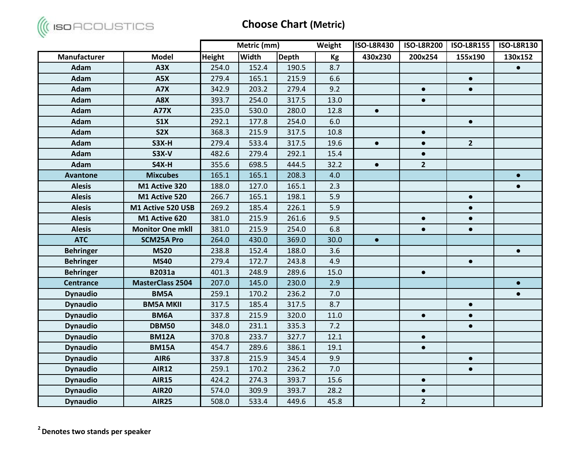

|                  |                         |               | Metric (mm)  |              | Weight | <b>ISO-L8R430</b> | <b>ISO-L8R200</b> | <b>ISO-L8R155</b> | <b>ISO-L8R130</b> |
|------------------|-------------------------|---------------|--------------|--------------|--------|-------------------|-------------------|-------------------|-------------------|
| Manufacturer     | <b>Model</b>            | <b>Height</b> | <b>Width</b> | <b>Depth</b> | Kg     | 430x230           | 200x254           | 155x190           | 130x152           |
| <b>Adam</b>      | A3X                     | 254.0         | 152.4        | 190.5        | 8.7    |                   |                   |                   | $\bullet$         |
| <b>Adam</b>      | A5X                     | 279.4         | 165.1        | 215.9        | 6.6    |                   |                   | $\bullet$         |                   |
| <b>Adam</b>      | A7X                     | 342.9         | 203.2        | 279.4        | 9.2    |                   | $\bullet$         | $\bullet$         |                   |
| <b>Adam</b>      | A8X                     | 393.7         | 254.0        | 317.5        | 13.0   |                   | $\bullet$         |                   |                   |
| <b>Adam</b>      | <b>A77X</b>             | 235.0         | 530.0        | 280.0        | 12.8   | $\bullet$         |                   |                   |                   |
| <b>Adam</b>      | <b>S1X</b>              | 292.1         | 177.8        | 254.0        | 6.0    |                   |                   | $\bullet$         |                   |
| <b>Adam</b>      | S <sub>2</sub> X        | 368.3         | 215.9        | 317.5        | 10.8   |                   | $\bullet$         |                   |                   |
| <b>Adam</b>      | $S3X-H$                 | 279.4         | 533.4        | 317.5        | 19.6   | $\bullet$         | $\bullet$         | $\overline{2}$    |                   |
| <b>Adam</b>      | <b>S3X-V</b>            | 482.6         | 279.4        | 292.1        | 15.4   |                   | $\bullet$         |                   |                   |
| <b>Adam</b>      | S4X-H                   | 355.6         | 698.5        | 444.5        | 32.2   | $\bullet$         | $\overline{2}$    |                   |                   |
| <b>Avantone</b>  | <b>Mixcubes</b>         | 165.1         | 165.1        | 208.3        | 4.0    |                   |                   |                   | $\bullet$         |
| <b>Alesis</b>    | M1 Active 320           | 188.0         | 127.0        | 165.1        | 2.3    |                   |                   |                   | $\bullet$         |
| <b>Alesis</b>    | M1 Active 520           | 266.7         | 165.1        | 198.1        | 5.9    |                   |                   | $\bullet$         |                   |
| <b>Alesis</b>    | M1 Active 520 USB       | 269.2         | 185.4        | 226.1        | 5.9    |                   |                   | $\bullet$         |                   |
| <b>Alesis</b>    | M1 Active 620           | 381.0         | 215.9        | 261.6        | 9.5    |                   | $\bullet$         | $\bullet$         |                   |
| <b>Alesis</b>    | <b>Monitor One mkll</b> | 381.0         | 215.9        | 254.0        | 6.8    |                   | $\bullet$         | $\bullet$         |                   |
| <b>ATC</b>       | <b>SCM25A Pro</b>       | 264.0         | 430.0        | 369.0        | 30.0   | $\bullet$         |                   |                   |                   |
| <b>Behringer</b> | <b>MS20</b>             | 238.8         | 152.4        | 188.0        | 3.6    |                   |                   |                   | $\bullet$         |
| <b>Behringer</b> | <b>MS40</b>             | 279.4         | 172.7        | 243.8        | 4.9    |                   |                   | $\bullet$         |                   |
| <b>Behringer</b> | <b>B2031a</b>           | 401.3         | 248.9        | 289.6        | 15.0   |                   | $\bullet$         |                   |                   |
| <b>Centrance</b> | <b>MasterClass 2504</b> | 207.0         | 145.0        | 230.0        | 2.9    |                   |                   |                   | $\bullet$         |
| <b>Dynaudio</b>  | BM5A                    | 259.1         | 170.2        | 236.2        | 7.0    |                   |                   |                   | $\bullet$         |
| <b>Dynaudio</b>  | <b>BM5A MKII</b>        | 317.5         | 185.4        | 317.5        | 8.7    |                   |                   | $\bullet$         |                   |
| <b>Dynaudio</b>  | BM6A                    | 337.8         | 215.9        | 320.0        | 11.0   |                   | $\bullet$         | $\bullet$         |                   |
| <b>Dynaudio</b>  | <b>DBM50</b>            | 348.0         | 231.1        | 335.3        | 7.2    |                   |                   | $\bullet$         |                   |
| <b>Dynaudio</b>  | <b>BM12A</b>            | 370.8         | 233.7        | 327.7        | 12.1   |                   | $\bullet$         |                   |                   |
| <b>Dynaudio</b>  | <b>BM15A</b>            | 454.7         | 289.6        | 386.1        | 19.1   |                   | $\bullet$         |                   |                   |
| <b>Dynaudio</b>  | AIR6                    | 337.8         | 215.9        | 345.4        | 9.9    |                   |                   | $\bullet$         |                   |
| <b>Dynaudio</b>  | <b>AIR12</b>            | 259.1         | 170.2        | 236.2        | 7.0    |                   |                   | $\bullet$         |                   |
| <b>Dynaudio</b>  | <b>AIR15</b>            | 424.2         | 274.3        | 393.7        | 15.6   |                   | $\bullet$         |                   |                   |
| <b>Dynaudio</b>  | <b>AIR20</b>            | 574.0         | 309.9        | 393.7        | 28.2   |                   | $\bullet$         |                   |                   |
| <b>Dynaudio</b>  | <b>AIR25</b>            | 508.0         | 533.4        | 449.6        | 45.8   |                   | $\overline{2}$    |                   |                   |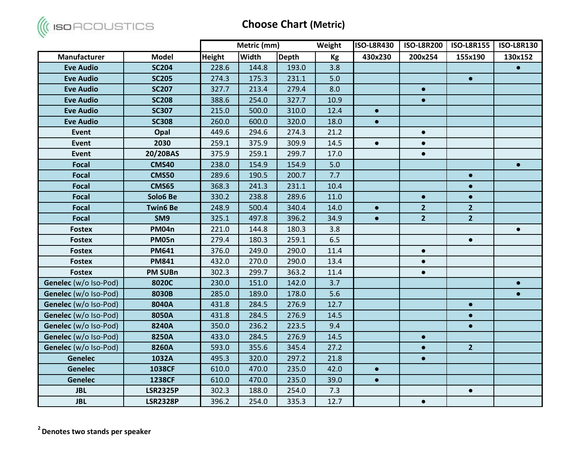

|                       |                 |               | Metric (mm)  |              | Weight | <b>ISO-L8R430</b> | <b>ISO-L8R200</b> | <b>ISO-L8R155</b> | <b>ISO-L8R130</b> |
|-----------------------|-----------------|---------------|--------------|--------------|--------|-------------------|-------------------|-------------------|-------------------|
| Manufacturer          | <b>Model</b>    | <b>Height</b> | <b>Width</b> | <b>Depth</b> | Kg     | 430x230           | 200x254           | 155x190           | 130x152           |
| <b>Eve Audio</b>      | <b>SC204</b>    | 228.6         | 144.8        | 193.0        | 3.8    |                   |                   |                   | $\bullet$         |
| <b>Eve Audio</b>      | <b>SC205</b>    | 274.3         | 175.3        | 231.1        | 5.0    |                   |                   | $\bullet$         |                   |
| <b>Eve Audio</b>      | <b>SC207</b>    | 327.7         | 213.4        | 279.4        | 8.0    |                   | $\bullet$         |                   |                   |
| <b>Eve Audio</b>      | <b>SC208</b>    | 388.6         | 254.0        | 327.7        | 10.9   |                   | $\bullet$         |                   |                   |
| <b>Eve Audio</b>      | <b>SC307</b>    | 215.0         | 500.0        | 310.0        | 12.4   | $\bullet$         |                   |                   |                   |
| <b>Eve Audio</b>      | <b>SC308</b>    | 260.0         | 600.0        | 320.0        | 18.0   | $\bullet$         |                   |                   |                   |
| <b>Event</b>          | Opal            | 449.6         | 294.6        | 274.3        | 21.2   |                   | $\bullet$         |                   |                   |
| <b>Event</b>          | 2030            | 259.1         | 375.9        | 309.9        | 14.5   | $\bullet$         | $\bullet$         |                   |                   |
| <b>Event</b>          | 20/20BAS        | 375.9         | 259.1        | 299.7        | 17.0   |                   | $\bullet$         |                   |                   |
| <b>Focal</b>          | <b>CMS40</b>    | 238.0         | 154.9        | 154.9        | 5.0    |                   |                   |                   | $\bullet$         |
| <b>Focal</b>          | <b>CMS50</b>    | 289.6         | 190.5        | 200.7        | 7.7    |                   |                   | $\bullet$         |                   |
| Focal                 | <b>CMS65</b>    | 368.3         | 241.3        | 231.1        | 10.4   |                   |                   | $\bullet$         |                   |
| <b>Focal</b>          | Solo6 Be        | 330.2         | 238.8        | 289.6        | 11.0   |                   | $\bullet$         | $\bullet$         |                   |
| Focal                 | <b>Twin6 Be</b> | 248.9         | 500.4        | 340.4        | 14.0   | $\bullet$         | $\overline{2}$    | 2 <sup>1</sup>    |                   |
| Focal                 | SM9             | 325.1         | 497.8        | 396.2        | 34.9   | $\bullet$         | $\overline{2}$    | $\overline{2}$    |                   |
| <b>Fostex</b>         | PM04n           | 221.0         | 144.8        | 180.3        | 3.8    |                   |                   |                   | $\bullet$         |
| <b>Fostex</b>         | <b>PM05n</b>    | 279.4         | 180.3        | 259.1        | 6.5    |                   |                   | $\bullet$         |                   |
| <b>Fostex</b>         | <b>PM641</b>    | 376.0         | 249.0        | 290.0        | 11.4   |                   | $\bullet$         |                   |                   |
| <b>Fostex</b>         | <b>PM841</b>    | 432.0         | 270.0        | 290.0        | 13.4   |                   | $\bullet$         |                   |                   |
| <b>Fostex</b>         | <b>PM SUBn</b>  | 302.3         | 299.7        | 363.2        | 11.4   |                   | $\bullet$         |                   |                   |
| Genelec (w/o Iso-Pod) | 8020C           | 230.0         | 151.0        | 142.0        | 3.7    |                   |                   |                   | $\bullet$         |
| Genelec (w/o Iso-Pod) | 8030B           | 285.0         | 189.0        | 178.0        | 5.6    |                   |                   |                   | $\bullet$         |
| Genelec (w/o Iso-Pod) | 8040A           | 431.8         | 284.5        | 276.9        | 12.7   |                   |                   | $\bullet$         |                   |
| Genelec (w/o Iso-Pod) | 8050A           | 431.8         | 284.5        | 276.9        | 14.5   |                   |                   | $\bullet$         |                   |
| Genelec (w/o Iso-Pod) | 8240A           | 350.0         | 236.2        | 223.5        | 9.4    |                   |                   | $\bullet$         |                   |
| Genelec (w/o Iso-Pod) | 8250A           | 433.0         | 284.5        | 276.9        | 14.5   |                   | $\bullet$         |                   |                   |
| Genelec (w/o Iso-Pod) | 8260A           | 593.0         | 355.6        | 345.4        | 27.2   |                   | $\bullet$         | $\overline{2}$    |                   |
| <b>Genelec</b>        | 1032A           | 495.3         | 320.0        | 297.2        | 21.8   |                   | $\bullet$         |                   |                   |
| Genelec               | 1038CF          | 610.0         | 470.0        | 235.0        | 42.0   | $\bullet$         |                   |                   |                   |
| <b>Genelec</b>        | <b>1238CF</b>   | 610.0         | 470.0        | 235.0        | 39.0   | $\bullet$         |                   |                   |                   |
| <b>JBL</b>            | <b>LSR2325P</b> | 302.3         | 188.0        | 254.0        | 7.3    |                   |                   | $\bullet$         |                   |
| <b>JBL</b>            | <b>LSR2328P</b> | 396.2         | 254.0        | 335.3        | 12.7   |                   | $\bullet$         |                   |                   |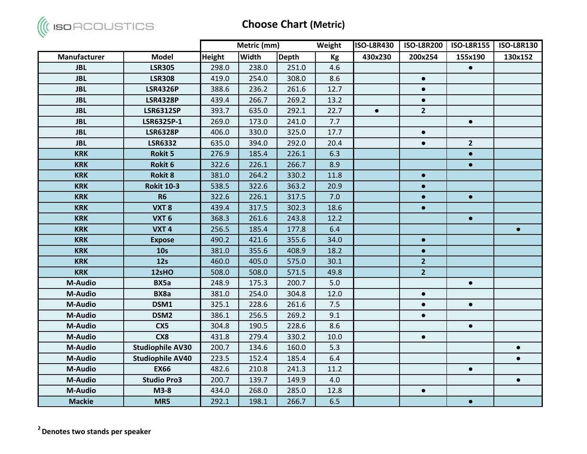

|                |                         |               | Metric (mm)  |              | Weight | <b>ISO-L8R430</b> | <b>ISO-L8R200</b> | <b>ISO-L8R155</b> | <b>ISO-L8R130</b> |
|----------------|-------------------------|---------------|--------------|--------------|--------|-------------------|-------------------|-------------------|-------------------|
| Manufacturer   | <b>Model</b>            | <b>Height</b> | <b>Width</b> | <b>Depth</b> | Kg     | 430x230           | 200x254           | 155x190           | 130x152           |
| <b>JBL</b>     | <b>LSR305</b>           | 298.0         | 238.0        | 251.0        | 4.6    |                   |                   | $\bullet$         |                   |
| <b>JBL</b>     | <b>LSR308</b>           | 419.0         | 254.0        | 308.0        | 8.6    |                   | $\bullet$         |                   |                   |
| <b>JBL</b>     | <b>LSR4326P</b>         | 388.6         | 236.2        | 261.6        | 12.7   |                   | $\bullet$         |                   |                   |
| <b>JBL</b>     | <b>LSR4328P</b>         | 439.4         | 266.7        | 269.2        | 13.2   |                   | $\bullet$         |                   |                   |
| <b>JBL</b>     | <b>LSR6312SP</b>        | 393.7         | 635.0        | 292.1        | 22.7   | $\bullet$         | $\overline{2}$    |                   |                   |
| <b>JBL</b>     | LSR6325P-1              | 269.0         | 173.0        | 241.0        | 7.7    |                   |                   | $\bullet$         |                   |
| <b>JBL</b>     | <b>LSR6328P</b>         | 406.0         | 330.0        | 325.0        | 17.7   |                   | $\bullet$         |                   |                   |
| <b>JBL</b>     | <b>LSR6332</b>          | 635.0         | 394.0        | 292.0        | 20.4   |                   | $\bullet$         | 2 <sup>1</sup>    |                   |
| <b>KRK</b>     | <b>Rokit 5</b>          | 276.9         | 185.4        | 226.1        | 6.3    |                   |                   | $\bullet$         |                   |
| <b>KRK</b>     | Rokit 6                 | 322.6         | 226.1        | 266.7        | 8.9    |                   |                   | $\bullet$         |                   |
| <b>KRK</b>     | <b>Rokit 8</b>          | 381.0         | 264.2        | 330.2        | 11.8   |                   | $\bullet$         |                   |                   |
| <b>KRK</b>     | <b>Rokit 10-3</b>       | 538.5         | 322.6        | 363.2        | 20.9   |                   | $\bullet$         |                   |                   |
| <b>KRK</b>     | <b>R6</b>               | 322.6         | 226.1        | 317.5        | 7.0    |                   | $\bullet$         | $\bullet$         |                   |
| <b>KRK</b>     | VXT8                    | 439.4         | 317.5        | 302.3        | 18.6   |                   | $\bullet$         |                   |                   |
| <b>KRK</b>     | VXT <sub>6</sub>        | 368.3         | 261.6        | 243.8        | 12.2   |                   |                   | $\bullet$         |                   |
| <b>KRK</b>     | VXT <sub>4</sub>        | 256.5         | 185.4        | 177.8        | 6.4    |                   |                   |                   | $\bullet$         |
| <b>KRK</b>     | <b>Expose</b>           | 490.2         | 421.6        | 355.6        | 34.0   |                   | $\bullet$         |                   |                   |
| <b>KRK</b>     | 10 <sub>s</sub>         | 381.0         | 355.6        | 408.9        | 18.2   |                   | $\bullet$         |                   |                   |
| <b>KRK</b>     | 12s                     | 460.0         | 405.0        | 575.0        | 30.1   |                   | $\overline{2}$    |                   |                   |
| <b>KRK</b>     | 12sHO                   | 508.0         | 508.0        | 571.5        | 49.8   |                   | $\overline{2}$    |                   |                   |
| <b>M-Audio</b> | BX5a                    | 248.9         | 175.3        | 200.7        | 5.0    |                   |                   | $\bullet$         |                   |
| <b>M-Audio</b> | BX8a                    | 381.0         | 254.0        | 304.8        | 12.0   |                   | $\bullet$         |                   |                   |
| <b>M-Audio</b> | DSM1                    | 325.1         | 228.6        | 261.6        | 7.5    |                   | $\bullet$         | $\bullet$         |                   |
| <b>M-Audio</b> | DSM <sub>2</sub>        | 386.1         | 256.5        | 269.2        | 9.1    |                   | $\bullet$         |                   |                   |
| M-Audio        | CX5                     | 304.8         | 190.5        | 228.6        | 8.6    |                   |                   | $\bullet$         |                   |
| <b>M-Audio</b> | CX8                     | 431.8         | 279.4        | 330.2        | 10.0   |                   | $\bullet$         |                   |                   |
| <b>M-Audio</b> | <b>Studiophile AV30</b> | 200.7         | 134.6        | 160.0        | 5.3    |                   |                   |                   | $\bullet$         |
| <b>M-Audio</b> | <b>Studiophile AV40</b> | 223.5         | 152.4        | 185.4        | 6.4    |                   |                   |                   | $\bullet$         |
| <b>M-Audio</b> | <b>EX66</b>             | 482.6         | 210.8        | 241.3        | 11.2   |                   |                   | $\bullet$         |                   |
| <b>M-Audio</b> | <b>Studio Pro3</b>      | 200.7         | 139.7        | 149.9        | 4.0    |                   |                   |                   | $\bullet$         |
| M-Audio        | $M3-8$                  | 434.0         | 268.0        | 285.0        | 12.8   |                   | $\bullet$         |                   |                   |
| <b>Mackie</b>  | MR5                     | 292.1         | 198.1        | 266.7        | 6.5    |                   |                   | $\bullet$         |                   |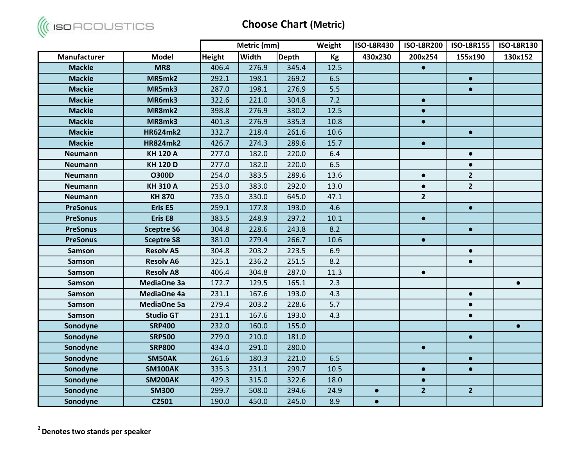

|                 |                   |               | Metric (mm)  |              | Weight | <b>ISO-L8R430</b> | <b>ISO-L8R200</b> | <b>ISO-L8R155</b> | <b>ISO-L8R130</b> |
|-----------------|-------------------|---------------|--------------|--------------|--------|-------------------|-------------------|-------------------|-------------------|
| Manufacturer    | <b>Model</b>      | <b>Height</b> | <b>Width</b> | <b>Depth</b> | Kg     | 430x230           | 200x254           | 155x190           | 130x152           |
| <b>Mackie</b>   | MR8               | 406.4         | 276.9        | 345.4        | 12.5   |                   | $\bullet$         |                   |                   |
| <b>Mackie</b>   | MR5mk2            | 292.1         | 198.1        | 269.2        | 6.5    |                   |                   | $\bullet$         |                   |
| <b>Mackie</b>   | MR5mk3            | 287.0         | 198.1        | 276.9        | 5.5    |                   |                   | $\bullet$         |                   |
| <b>Mackie</b>   | MR6mk3            | 322.6         | 221.0        | 304.8        | 7.2    |                   | $\bullet$         |                   |                   |
| <b>Mackie</b>   | MR8mk2            | 398.8         | 276.9        | 330.2        | 12.5   |                   | $\bullet$         |                   |                   |
| <b>Mackie</b>   | MR8mk3            | 401.3         | 276.9        | 335.3        | 10.8   |                   | $\bullet$         |                   |                   |
| <b>Mackie</b>   | <b>HR624mk2</b>   | 332.7         | 218.4        | 261.6        | 10.6   |                   |                   | $\bullet$         |                   |
| <b>Mackie</b>   | <b>HR824mk2</b>   | 426.7         | 274.3        | 289.6        | 15.7   |                   | $\bullet$         |                   |                   |
| <b>Neumann</b>  | <b>KH 120 A</b>   | 277.0         | 182.0        | 220.0        | 6.4    |                   |                   | $\bullet$         |                   |
| <b>Neumann</b>  | <b>KH 120 D</b>   | 277.0         | 182.0        | 220.0        | 6.5    |                   |                   | $\bullet$         |                   |
| <b>Neumann</b>  | <b>O300D</b>      | 254.0         | 383.5        | 289.6        | 13.6   |                   | $\bullet$         | $\overline{2}$    |                   |
| <b>Neumann</b>  | <b>KH 310 A</b>   | 253.0         | 383.0        | 292.0        | 13.0   |                   | $\bullet$         | $\overline{2}$    |                   |
| <b>Neumann</b>  | <b>KH 870</b>     | 735.0         | 330.0        | 645.0        | 47.1   |                   | $\overline{2}$    |                   |                   |
| <b>PreSonus</b> | Eris E5           | 259.1         | 177.8        | 193.0        | 4.6    |                   |                   | $\bullet$         |                   |
| <b>PreSonus</b> | Eris E8           | 383.5         | 248.9        | 297.2        | 10.1   |                   | $\bullet$         |                   |                   |
| <b>PreSonus</b> | <b>Sceptre S6</b> | 304.8         | 228.6        | 243.8        | 8.2    |                   |                   | $\bullet$         |                   |
| <b>PreSonus</b> | <b>Sceptre S8</b> | 381.0         | 279.4        | 266.7        | 10.6   |                   | $\bullet$         |                   |                   |
| <b>Samson</b>   | <b>Resolv A5</b>  | 304.8         | 203.2        | 223.5        | 6.9    |                   |                   | $\bullet$         |                   |
| <b>Samson</b>   | <b>Resolv A6</b>  | 325.1         | 236.2        | 251.5        | 8.2    |                   |                   | $\bullet$         |                   |
| <b>Samson</b>   | <b>Resolv A8</b>  | 406.4         | 304.8        | 287.0        | 11.3   |                   | $\bullet$         |                   |                   |
| <b>Samson</b>   | MediaOne 3a       | 172.7         | 129.5        | 165.1        | 2.3    |                   |                   |                   | $\bullet$         |
| <b>Samson</b>   | MediaOne 4a       | 231.1         | 167.6        | 193.0        | 4.3    |                   |                   | $\bullet$         |                   |
| <b>Samson</b>   | MediaOne 5a       | 279.4         | 203.2        | 228.6        | 5.7    |                   |                   | $\bullet$         |                   |
| <b>Samson</b>   | <b>Studio GT</b>  | 231.1         | 167.6        | 193.0        | 4.3    |                   |                   | $\bullet$         |                   |
| Sonodyne        | <b>SRP400</b>     | 232.0         | 160.0        | 155.0        |        |                   |                   |                   | $\bullet$         |
| Sonodyne        | <b>SRP500</b>     | 279.0         | 210.0        | 181.0        |        |                   |                   | $\bullet$         |                   |
| Sonodyne        | <b>SRP800</b>     | 434.0         | 291.0        | 280.0        |        |                   | $\bullet$         |                   |                   |
| Sonodyne        | SM50AK            | 261.6         | 180.3        | 221.0        | 6.5    |                   |                   | $\bullet$         |                   |
| Sonodyne        | <b>SM100AK</b>    | 335.3         | 231.1        | 299.7        | 10.5   |                   | $\bullet$         | $\bullet$         |                   |
| Sonodyne        | <b>SM200AK</b>    | 429.3         | 315.0        | 322.6        | 18.0   |                   | $\bullet$         |                   |                   |
| Sonodyne        | <b>SM300</b>      | 299.7         | 508.0        | 294.6        | 24.9   | $\bullet$         | $\overline{2}$    | 2 <sup>2</sup>    |                   |
| Sonodyne        | C2501             | 190.0         | 450.0        | 245.0        | 8.9    | $\bullet$         |                   |                   |                   |